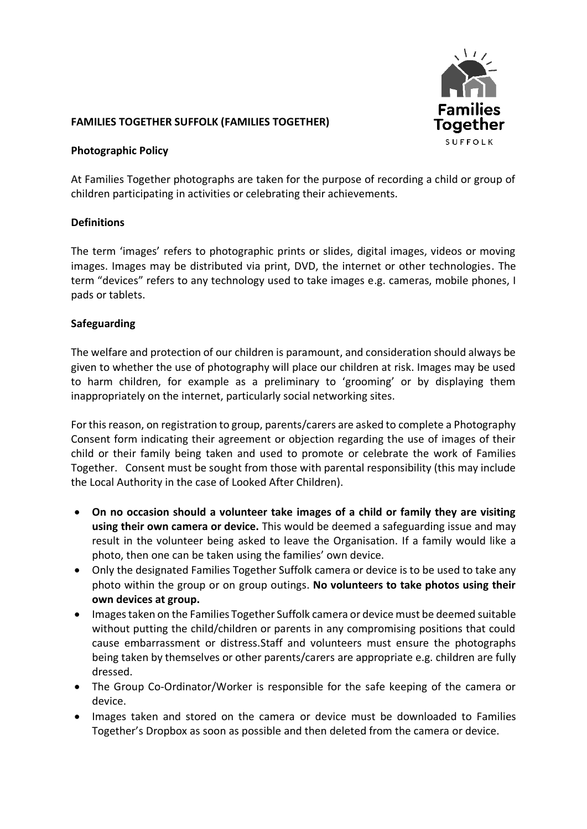

## **FAMILIES TOGETHER SUFFOLK (FAMILIES TOGETHER)**

#### **Photographic Policy**

At Families Together photographs are taken for the purpose of recording a child or group of children participating in activities or celebrating their achievements.

### **Definitions**

The term 'images' refers to photographic prints or slides, digital images, videos or moving images. Images may be distributed via print, DVD, the internet or other technologies. The term "devices" refers to any technology used to take images e.g. cameras, mobile phones, I pads or tablets.

### **Safeguarding**

The welfare and protection of our children is paramount, and consideration should always be given to whether the use of photography will place our children at risk. Images may be used to harm children, for example as a preliminary to 'grooming' or by displaying them inappropriately on the internet, particularly social networking sites.

For this reason, on registration to group, parents/carers are asked to complete a Photography Consent form indicating their agreement or objection regarding the use of images of their child or their family being taken and used to promote or celebrate the work of Families Together. Consent must be sought from those with parental responsibility (this may include the Local Authority in the case of Looked After Children).

- **On no occasion should a volunteer take images of a child or family they are visiting using their own camera or device.** This would be deemed a safeguarding issue and may result in the volunteer being asked to leave the Organisation. If a family would like a photo, then one can be taken using the families' own device.
- Only the designated Families Together Suffolk camera or device is to be used to take any photo within the group or on group outings. **No volunteers to take photos using their own devices at group.**
- Images taken on the Families Together Suffolk camera or device must be deemed suitable without putting the child/children or parents in any compromising positions that could cause embarrassment or distress.Staff and volunteers must ensure the photographs being taken by themselves or other parents/carers are appropriate e.g. children are fully dressed.
- The Group Co-Ordinator/Worker is responsible for the safe keeping of the camera or device.
- Images taken and stored on the camera or device must be downloaded to Families Together's Dropbox as soon as possible and then deleted from the camera or device.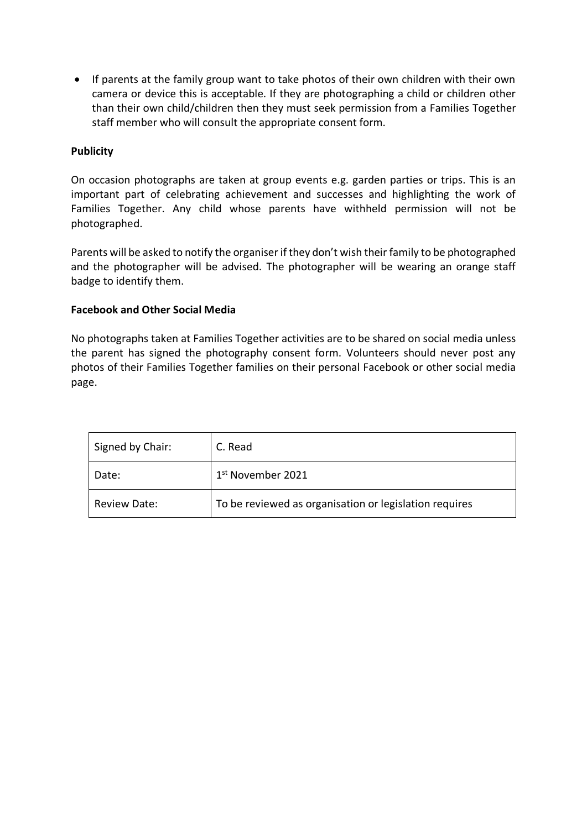• If parents at the family group want to take photos of their own children with their own camera or device this is acceptable. If they are photographing a child or children other than their own child/children then they must seek permission from a Families Together staff member who will consult the appropriate consent form.

## **Publicity**

On occasion photographs are taken at group events e.g. garden parties or trips. This is an important part of celebrating achievement and successes and highlighting the work of Families Together. Any child whose parents have withheld permission will not be photographed.

Parents will be asked to notify the organiser if they don't wish their family to be photographed and the photographer will be advised. The photographer will be wearing an orange staff badge to identify them.

### **Facebook and Other Social Media**

No photographs taken at Families Together activities are to be shared on social media unless the parent has signed the photography consent form. Volunteers should never post any photos of their Families Together families on their personal Facebook or other social media page.

| Signed by Chair: | C. Read                                                |  |
|------------------|--------------------------------------------------------|--|
| Date:            | 1 <sup>st</sup> November 2021                          |  |
| Review Date:     | To be reviewed as organisation or legislation requires |  |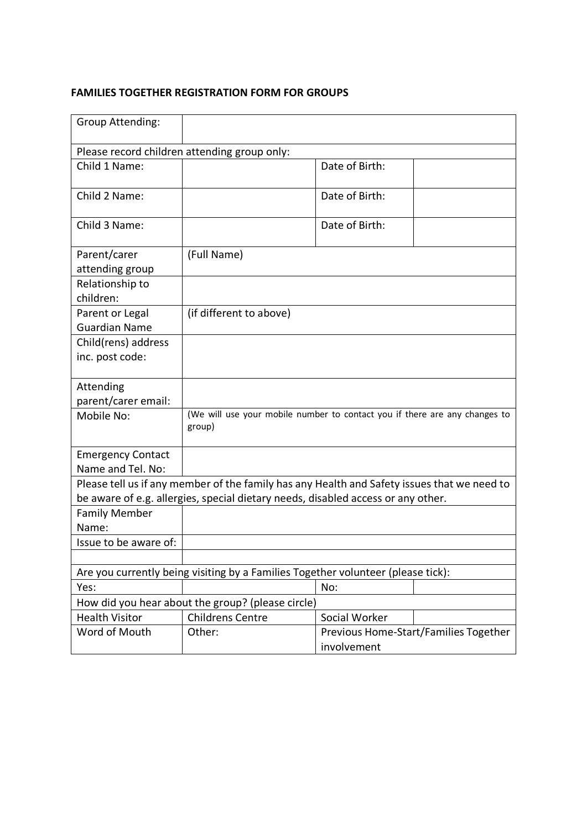# **FAMILIES TOGETHER REGISTRATION FORM FOR GROUPS**

| Group Attending:                             |                                                                                             |                |                                       |  |  |
|----------------------------------------------|---------------------------------------------------------------------------------------------|----------------|---------------------------------------|--|--|
| Please record children attending group only: |                                                                                             |                |                                       |  |  |
| Child 1 Name:                                |                                                                                             | Date of Birth: |                                       |  |  |
| Child 2 Name:                                |                                                                                             | Date of Birth: |                                       |  |  |
| Child 3 Name:                                |                                                                                             | Date of Birth: |                                       |  |  |
| Parent/carer                                 | (Full Name)                                                                                 |                |                                       |  |  |
| attending group                              |                                                                                             |                |                                       |  |  |
| Relationship to                              |                                                                                             |                |                                       |  |  |
| children:                                    |                                                                                             |                |                                       |  |  |
| Parent or Legal                              | (if different to above)                                                                     |                |                                       |  |  |
| <b>Guardian Name</b>                         |                                                                                             |                |                                       |  |  |
| Child(rens) address                          |                                                                                             |                |                                       |  |  |
| inc. post code:                              |                                                                                             |                |                                       |  |  |
| Attending                                    |                                                                                             |                |                                       |  |  |
| parent/carer email:                          |                                                                                             |                |                                       |  |  |
| Mobile No:                                   | (We will use your mobile number to contact you if there are any changes to<br>group)        |                |                                       |  |  |
| <b>Emergency Contact</b>                     |                                                                                             |                |                                       |  |  |
| Name and Tel. No:                            |                                                                                             |                |                                       |  |  |
|                                              | Please tell us if any member of the family has any Health and Safety issues that we need to |                |                                       |  |  |
|                                              | be aware of e.g. allergies, special dietary needs, disabled access or any other.            |                |                                       |  |  |
| <b>Family Member</b>                         |                                                                                             |                |                                       |  |  |
| Name:                                        |                                                                                             |                |                                       |  |  |
| Issue to be aware of:                        |                                                                                             |                |                                       |  |  |
|                                              |                                                                                             |                |                                       |  |  |
|                                              | Are you currently being visiting by a Families Together volunteer (please tick):            |                |                                       |  |  |
| Yes:                                         |                                                                                             | No:            |                                       |  |  |
|                                              | How did you hear about the group? (please circle)                                           |                |                                       |  |  |
| <b>Health Visitor</b>                        | <b>Childrens Centre</b>                                                                     | Social Worker  |                                       |  |  |
| Word of Mouth                                | Other:                                                                                      | involvement    | Previous Home-Start/Families Together |  |  |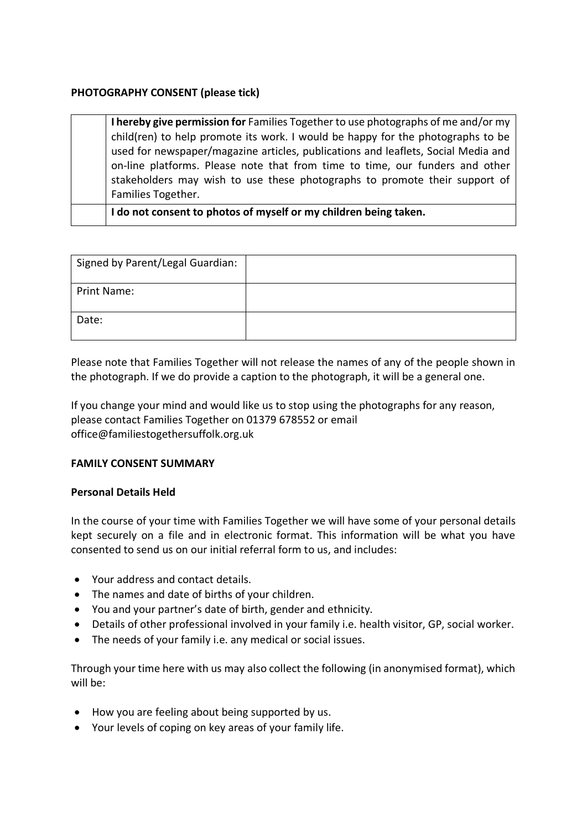### **PHOTOGRAPHY CONSENT (please tick)**

**I hereby give permission for** Families Together to use photographs of me and/or my child(ren) to help promote its work. I would be happy for the photographs to be used for newspaper/magazine articles, publications and leaflets, Social Media and on-line platforms. Please note that from time to time, our funders and other stakeholders may wish to use these photographs to promote their support of Families Together.

**I do not consent to photos of myself or my children being taken.**

| Signed by Parent/Legal Guardian: |  |
|----------------------------------|--|
| <b>Print Name:</b>               |  |
| Date:                            |  |

Please note that Families Together will not release the names of any of the people shown in the photograph. If we do provide a caption to the photograph, it will be a general one.

If you change your mind and would like us to stop using the photographs for any reason, please contact Families Together on 01379 678552 or email office@familiestogethersuffolk.org.uk

### **FAMILY CONSENT SUMMARY**

### **Personal Details Held**

In the course of your time with Families Together we will have some of your personal details kept securely on a file and in electronic format. This information will be what you have consented to send us on our initial referral form to us, and includes:

- Your address and contact details.
- The names and date of births of your children.
- You and your partner's date of birth, gender and ethnicity.
- Details of other professional involved in your family i.e. health visitor, GP, social worker.
- The needs of your family i.e. any medical or social issues.

Through your time here with us may also collect the following (in anonymised format), which will be:

- How you are feeling about being supported by us.
- Your levels of coping on key areas of your family life.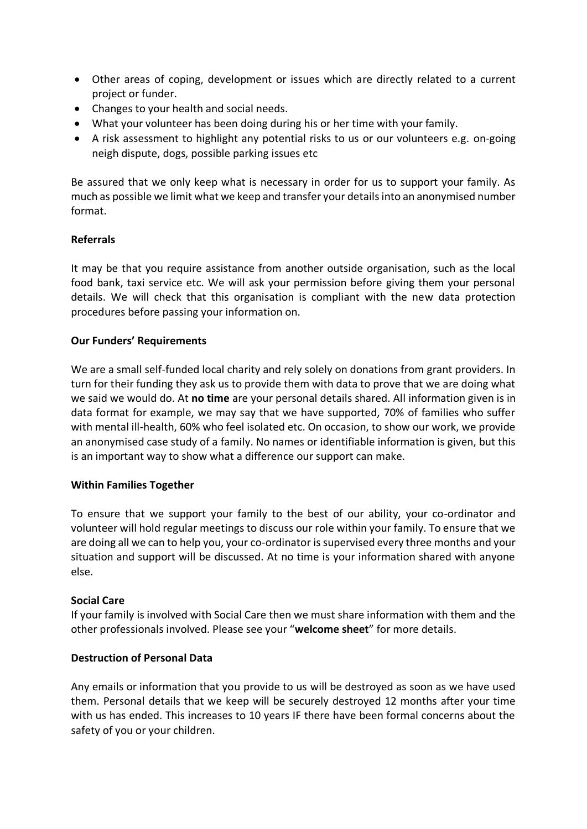- Other areas of coping, development or issues which are directly related to a current project or funder.
- Changes to your health and social needs.
- What your volunteer has been doing during his or her time with your family.
- A risk assessment to highlight any potential risks to us or our volunteers e.g. on-going neigh dispute, dogs, possible parking issues etc

Be assured that we only keep what is necessary in order for us to support your family. As much as possible we limit what we keep and transfer your details into an anonymised number format.

### **Referrals**

It may be that you require assistance from another outside organisation, such as the local food bank, taxi service etc. We will ask your permission before giving them your personal details. We will check that this organisation is compliant with the new data protection procedures before passing your information on.

### **Our Funders' Requirements**

We are a small self-funded local charity and rely solely on donations from grant providers. In turn for their funding they ask us to provide them with data to prove that we are doing what we said we would do. At **no time** are your personal details shared. All information given is in data format for example, we may say that we have supported, 70% of families who suffer with mental ill-health, 60% who feel isolated etc. On occasion, to show our work, we provide an anonymised case study of a family. No names or identifiable information is given, but this is an important way to show what a difference our support can make.

### **Within Families Together**

To ensure that we support your family to the best of our ability, your co-ordinator and volunteer will hold regular meetings to discuss our role within your family. To ensure that we are doing all we can to help you, your co-ordinator is supervised every three months and your situation and support will be discussed. At no time is your information shared with anyone else.

### **Social Care**

If your family is involved with Social Care then we must share information with them and the other professionals involved. Please see your "**welcome sheet**" for more details.

### **Destruction of Personal Data**

Any emails or information that you provide to us will be destroyed as soon as we have used them. Personal details that we keep will be securely destroyed 12 months after your time with us has ended. This increases to 10 years IF there have been formal concerns about the safety of you or your children.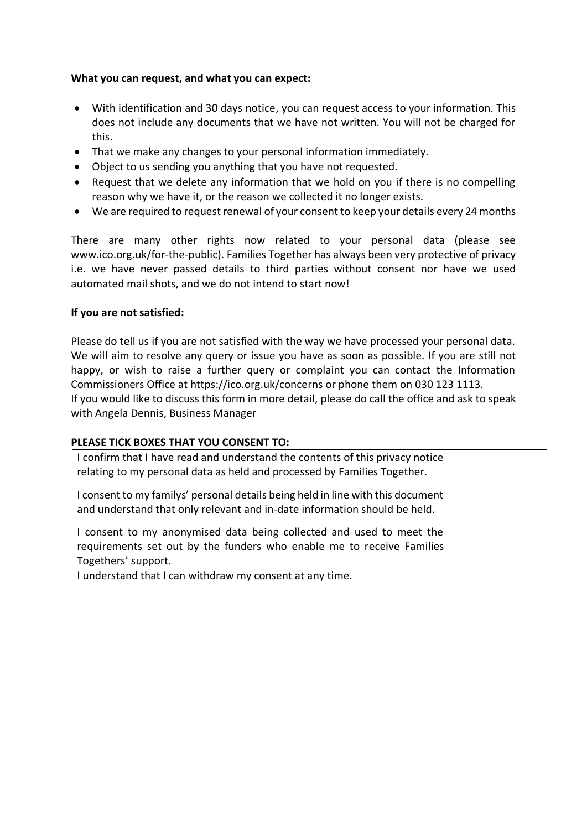### **What you can request, and what you can expect:**

- With identification and 30 days notice, you can request access to your information. This does not include any documents that we have not written. You will not be charged for this.
- That we make any changes to your personal information immediately.
- Object to us sending you anything that you have not requested.
- Request that we delete any information that we hold on you if there is no compelling reason why we have it, or the reason we collected it no longer exists.
- We are required to request renewal of your consent to keep your details every 24 months

There are many other rights now related to your personal data (please see www.ico.org.uk/for-the-public). Families Together has always been very protective of privacy i.e. we have never passed details to third parties without consent nor have we used automated mail shots, and we do not intend to start now!

### **If you are not satisfied:**

Please do tell us if you are not satisfied with the way we have processed your personal data. We will aim to resolve any query or issue you have as soon as possible. If you are still not happy, or wish to raise a further query or complaint you can contact the Information Commissioners Office at https://ico.org.uk/concerns or phone them on 030 123 1113. If you would like to discuss this form in more detail, please do call the office and ask to speak with Angela Dennis, Business Manager

### **PLEASE TICK BOXES THAT YOU CONSENT TO:**

| I confirm that I have read and understand the contents of this privacy notice<br>relating to my personal data as held and processed by Families Together.            |  |
|----------------------------------------------------------------------------------------------------------------------------------------------------------------------|--|
| I consent to my familys' personal details being held in line with this document<br>and understand that only relevant and in-date information should be held.         |  |
| I consent to my anonymised data being collected and used to meet the<br>requirements set out by the funders who enable me to receive Families<br>Togethers' support. |  |
| I understand that I can withdraw my consent at any time.                                                                                                             |  |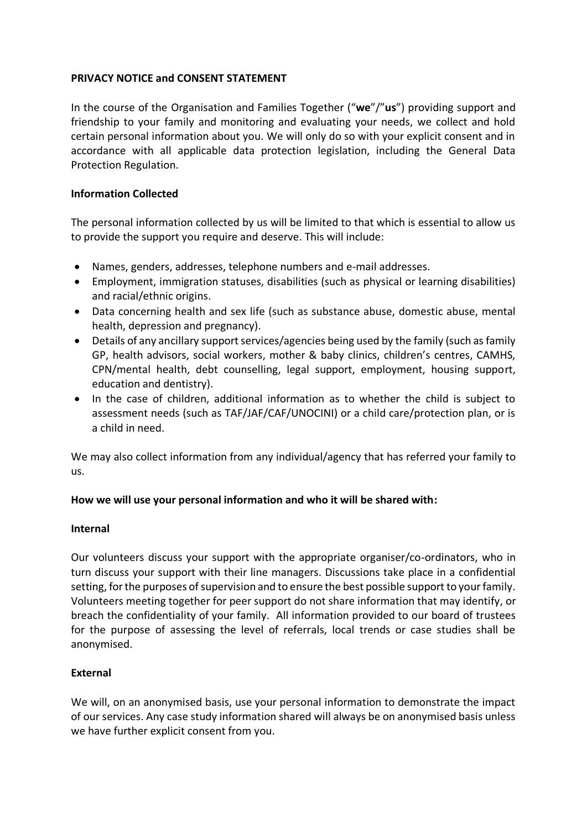# **PRIVACY NOTICE and CONSENT STATEMENT**

In the course of the Organisation and Families Together ("**we**"/"**us**") providing support and friendship to your family and monitoring and evaluating your needs, we collect and hold certain personal information about you. We will only do so with your explicit consent and in accordance with all applicable data protection legislation, including the General Data Protection Regulation.

### **Information Collected**

The personal information collected by us will be limited to that which is essential to allow us to provide the support you require and deserve. This will include:

- Names, genders, addresses, telephone numbers and e-mail addresses.
- Employment, immigration statuses, disabilities (such as physical or learning disabilities) and racial/ethnic origins.
- Data concerning health and sex life (such as substance abuse, domestic abuse, mental health, depression and pregnancy).
- Details of any ancillary support services/agencies being used by the family (such as family GP, health advisors, social workers, mother & baby clinics, children's centres, CAMHS, CPN/mental health, debt counselling, legal support, employment, housing support, education and dentistry).
- In the case of children, additional information as to whether the child is subject to assessment needs (such as TAF/JAF/CAF/UNOCINI) or a child care/protection plan, or is a child in need.

We may also collect information from any individual/agency that has referred your family to us.

### **How we will use your personal information and who it will be shared with:**

### **Internal**

Our volunteers discuss your support with the appropriate organiser/co-ordinators, who in turn discuss your support with their line managers. Discussions take place in a confidential setting, for the purposes of supervision and to ensure the best possible support to your family. Volunteers meeting together for peer support do not share information that may identify, or breach the confidentiality of your family. All information provided to our board of trustees for the purpose of assessing the level of referrals, local trends or case studies shall be anonymised.

### **External**

We will, on an anonymised basis, use your personal information to demonstrate the impact of our services. Any case study information shared will always be on anonymised basis unless we have further explicit consent from you.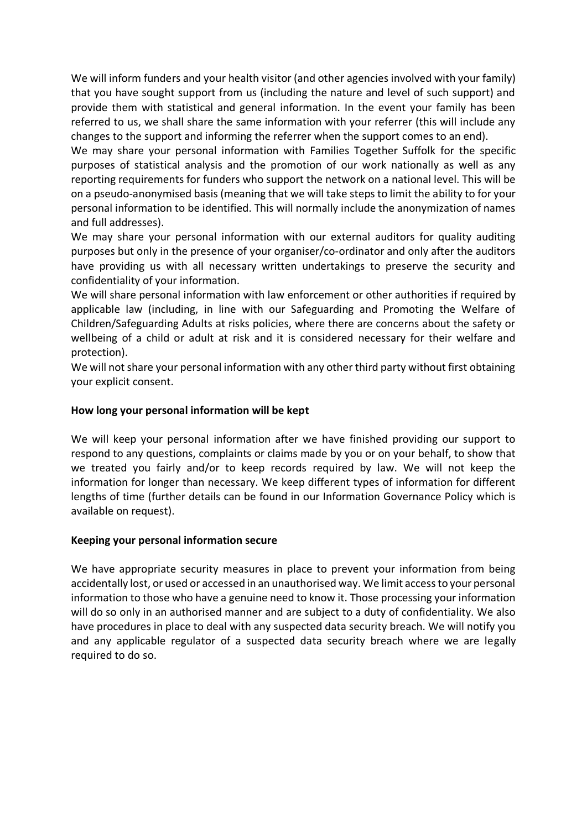We will inform funders and your health visitor (and other agencies involved with your family) that you have sought support from us (including the nature and level of such support) and provide them with statistical and general information. In the event your family has been referred to us, we shall share the same information with your referrer (this will include any changes to the support and informing the referrer when the support comes to an end).

We may share your personal information with Families Together Suffolk for the specific purposes of statistical analysis and the promotion of our work nationally as well as any reporting requirements for funders who support the network on a national level. This will be on a pseudo-anonymised basis (meaning that we will take steps to limit the ability to for your personal information to be identified. This will normally include the anonymization of names and full addresses).

We may share your personal information with our external auditors for quality auditing purposes but only in the presence of your organiser/co-ordinator and only after the auditors have providing us with all necessary written undertakings to preserve the security and confidentiality of your information.

We will share personal information with law enforcement or other authorities if required by applicable law (including, in line with our Safeguarding and Promoting the Welfare of Children/Safeguarding Adults at risks policies, where there are concerns about the safety or wellbeing of a child or adult at risk and it is considered necessary for their welfare and protection).

We will not share your personal information with any other third party without first obtaining your explicit consent.

# **How long your personal information will be kept**

We will keep your personal information after we have finished providing our support to respond to any questions, complaints or claims made by you or on your behalf, to show that we treated you fairly and/or to keep records required by law. We will not keep the information for longer than necessary. We keep different types of information for different lengths of time (further details can be found in our Information Governance Policy which is available on request).

# **Keeping your personal information secure**

We have appropriate security measures in place to prevent your information from being accidentally lost, or used or accessed in an unauthorised way. We limit access to your personal information to those who have a genuine need to know it. Those processing your information will do so only in an authorised manner and are subject to a duty of confidentiality. We also have procedures in place to deal with any suspected data security breach. We will notify you and any applicable regulator of a suspected data security breach where we are legally required to do so.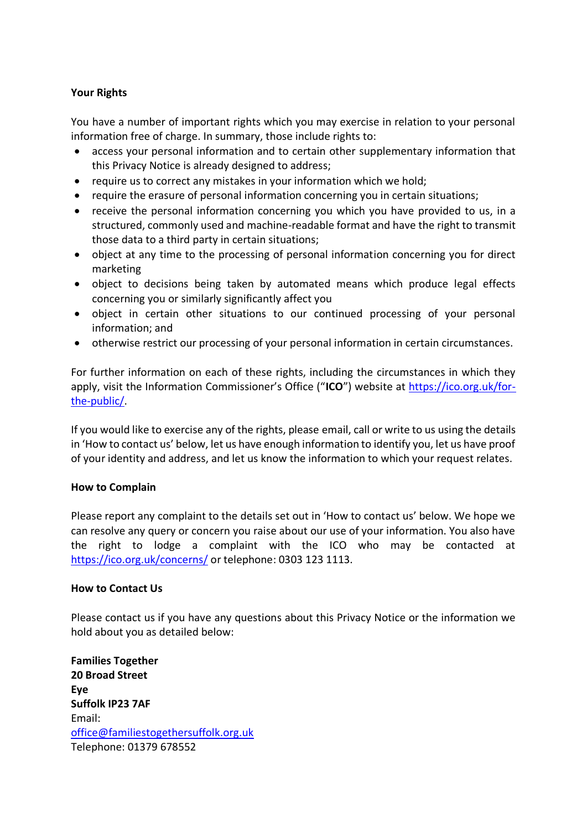### **Your Rights**

You have a number of important rights which you may exercise in relation to your personal information free of charge. In summary, those include rights to:

- access your personal information and to certain other supplementary information that this Privacy Notice is already designed to address;
- require us to correct any mistakes in your information which we hold;
- require the erasure of personal information concerning you in certain situations;
- receive the personal information concerning you which you have provided to us, in a structured, commonly used and machine-readable format and have the right to transmit those data to a third party in certain situations;
- object at any time to the processing of personal information concerning you for direct marketing
- object to decisions being taken by automated means which produce legal effects concerning you or similarly significantly affect you
- object in certain other situations to our continued processing of your personal information; and
- otherwise restrict our processing of your personal information in certain circumstances.

For further information on each of these rights, including the circumstances in which they apply, visit the Information Commissioner's Office ("ICO") website at [https://ico.org.uk/for](https://ico.org.uk/for-the-public/)[the-public/.](https://ico.org.uk/for-the-public/)

If you would like to exercise any of the rights, please email, call or write to us using the details in 'How to contact us' below, let us have enough information to identify you, let us have proof of your identity and address, and let us know the information to which your request relates.

### **How to Complain**

Please report any complaint to the details set out in 'How to contact us' below. We hope we can resolve any query or concern you raise about our use of your information. You also have the right to lodge a complaint with the ICO who may be contacted at [https://ico.org.uk/concerns/](http://ico.org.uk/concerns/) or telephone: 0303 123 1113.

### **How to Contact Us**

Please contact us if you have any questions about this Privacy Notice or the information we hold about you as detailed below:

**Families Together 20 Broad Street Eye Suffolk IP23 7AF** Email: [office@familiestogethersuffolk.org.uk](mailto:office@familiestogethersuffolk.org.uk) Telephone: 01379 678552